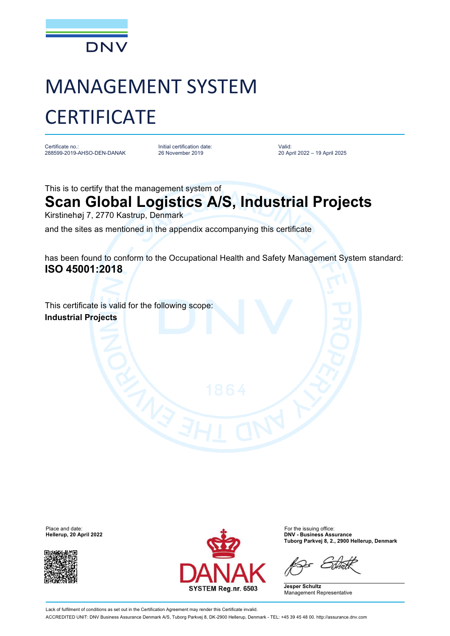

## MANAGEMENT SYSTEM **CERTIFICATE**

Certificate no.: 288599-2019-AHSO-DEN-DANAK Initial certification date: 26 November 2019

Valid: 20 April 2022 – 19 April 2025

This is to certify that the management system of

## **Scan Global Logistics A/S, Industrial Projects**

Kirstinehøj 7, 2770 Kastrup, Denmark

and the sites as mentioned in the appendix accompanying this certificate

has been found to conform to the Occupational Health and Safety Management System standard: **ISO 45001:2018**

This certificate is valid for the following scope: **Industrial Projects**

**Hellerup, 20 April 2022** 





**Tuborg Parkvej 8, 2., 2900 Hellerup, Denmark**

**Jesper Schultz** Management Representative

Lack of fulfilment of conditions as set out in the Certification Agreement may render this Certificate invalid.

ACCREDITED UNIT: DNV Business Assurance Denmark A/S, Tuborg Parkvej 8, DK-2900 Hellerup, Denmark - TEL: +45 39 45 48 00. <http://assurance.dnv.com>